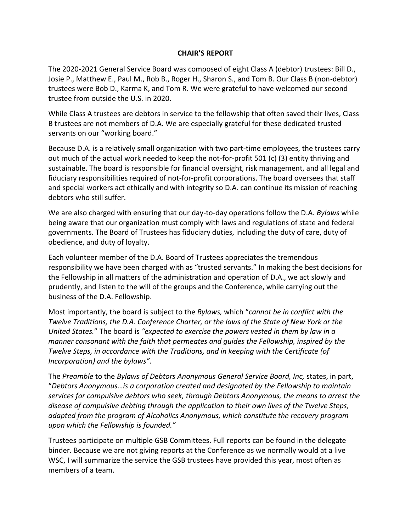### **CHAIR'S REPORT**

The 2020-2021 General Service Board was composed of eight Class A (debtor) trustees: Bill D., Josie P., Matthew E., Paul M., Rob B., Roger H., Sharon S., and Tom B. Our Class B (non-debtor) trustees were Bob D., Karma K, and Tom R. We were grateful to have welcomed our second trustee from outside the U.S. in 2020.

While Class A trustees are debtors in service to the fellowship that often saved their lives, Class B trustees are not members of D.A. We are especially grateful for these dedicated trusted servants on our "working board."

Because D.A. is a relatively small organization with two part-time employees, the trustees carry out much of the actual work needed to keep the not-for-profit 501 (c) (3) entity thriving and sustainable. The board is responsible for financial oversight, risk management, and all legal and fiduciary responsibilities required of not-for-profit corporations. The board oversees that staff and special workers act ethically and with integrity so D.A. can continue its mission of reaching debtors who still suffer.

We are also charged with ensuring that our day-to-day operations follow the D.A. *Bylaws* while being aware that our organization must comply with laws and regulations of state and federal governments. The Board of Trustees has fiduciary duties, including the duty of care, duty of obedience, and duty of loyalty.

Each volunteer member of the D.A. Board of Trustees appreciates the tremendous responsibility we have been charged with as "trusted servants." In making the best decisions for the Fellowship in all matters of the administration and operation of D.A., we act slowly and prudently, and listen to the will of the groups and the Conference, while carrying out the business of the D.A. Fellowship.

Most importantly, the board is subject to the *Bylaws,* which "*cannot be in conflict with the Twelve Traditions, the D.A. Conference Charter, or the laws of the State of New York or the United States.*" The board is *"expected to exercise the powers vested in them by law in a manner consonant with the faith that permeates and guides the Fellowship, inspired by the Twelve Steps, in accordance with the Traditions, and in keeping with the Certificate (of Incorporation) and the bylaws".*

The *Preamble* to the *Bylaws of Debtors Anonymous General Service Board, Inc,* states, in part, "*Debtors Anonymous…is a corporation created and designated by the Fellowship to maintain services for compulsive debtors who seek, through Debtors Anonymous, the means to arrest the disease of compulsive debting through the application to their own lives of the Twelve Steps, adapted from the program of Alcoholics Anonymous, which constitute the recovery program upon which the Fellowship is founded."*

Trustees participate on multiple GSB Committees. Full reports can be found in the delegate binder*.* Because we are not giving reports at the Conference as we normally would at a live WSC, I will summarize the service the GSB trustees have provided this year, most often as members of a team.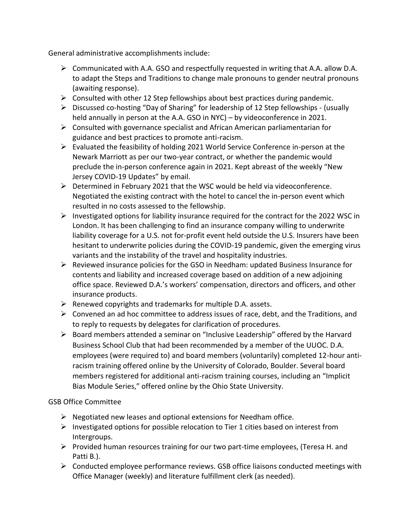General administrative accomplishments include:

- $\triangleright$  Communicated with A.A. GSO and respectfully requested in writing that A.A. allow D.A. to adapt the Steps and Traditions to change male pronouns to gender neutral pronouns (awaiting response).
- $\triangleright$  Consulted with other 12 Step fellowships about best practices during pandemic.
- ➢ Discussed co-hosting "Day of Sharing" for leadership of 12 Step fellowships (usually held annually in person at the A.A. GSO in NYC) – by videoconference in 2021.
- $\triangleright$  Consulted with governance specialist and African American parliamentarian for guidance and best practices to promote anti-racism.
- ➢ Evaluated the feasibility of holding 2021 World Service Conference in-person at the Newark Marriott as per our two-year contract, or whether the pandemic would preclude the in-person conference again in 2021. Kept abreast of the weekly "New Jersey COVID-19 Updates" by email.
- $\triangleright$  Determined in February 2021 that the WSC would be held via videoconference. Negotiated the existing contract with the hotel to cancel the in-person event which resulted in no costs assessed to the fellowship.
- $\triangleright$  Investigated options for liability insurance required for the contract for the 2022 WSC in London. It has been challenging to find an insurance company willing to underwrite liability coverage for a U.S. not for-profit event held outside the U.S. Insurers have been hesitant to underwrite policies during the COVID-19 pandemic, given the emerging virus variants and the instability of the travel and hospitality industries.
- ➢ Reviewed insurance policies for the GSO in Needham: updated Business Insurance for contents and liability and increased coverage based on addition of a new adjoining office space. Reviewed D.A.'s workers' compensation, directors and officers, and other insurance products.
- ➢ Renewed copyrights and trademarks for multiple D.A. assets.
- $\triangleright$  Convened an ad hoc committee to address issues of race, debt, and the Traditions, and to reply to requests by delegates for clarification of procedures.
- $\triangleright$  Board members attended a seminar on "Inclusive Leadership" offered by the Harvard Business School Club that had been recommended by a member of the UUOC. D.A. employees (were required to) and board members (voluntarily) completed 12-hour antiracism training offered online by the University of Colorado, Boulder. Several board members registered for additional anti-racism training courses, including an "Implicit Bias Module Series," offered online by the Ohio State University.

# GSB Office Committee

- $\triangleright$  Negotiated new leases and optional extensions for Needham office.
- $\triangleright$  Investigated options for possible relocation to Tier 1 cities based on interest from Intergroups.
- $\triangleright$  Provided human resources training for our two part-time employees, (Teresa H. and Patti B.).
- ➢ Conducted employee performance reviews. GSB office liaisons conducted meetings with Office Manager (weekly) and literature fulfillment clerk (as needed).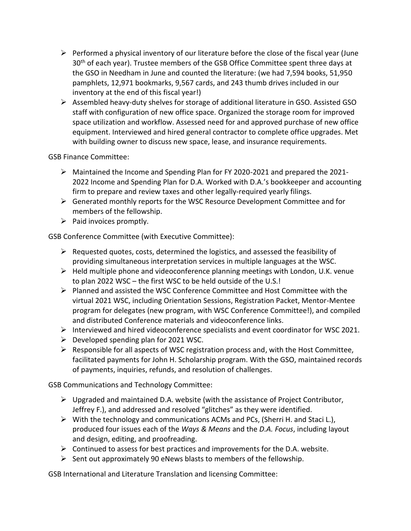- ➢ Performed a physical inventory of our literature before the close of the fiscal year (June 30<sup>th</sup> of each year). Trustee members of the GSB Office Committee spent three days at the GSO in Needham in June and counted the literature: (we had 7,594 books, 51,950 pamphlets, 12,971 bookmarks, 9,567 cards, and 243 thumb drives included in our inventory at the end of this fiscal year!)
- ➢ Assembled heavy-duty shelves for storage of additional literature in GSO. Assisted GSO staff with configuration of new office space. Organized the storage room for improved space utilization and workflow. Assessed need for and approved purchase of new office equipment. Interviewed and hired general contractor to complete office upgrades. Met with building owner to discuss new space, lease, and insurance requirements.

GSB Finance Committee:

- ➢ Maintained the Income and Spending Plan for FY 2020-2021 and prepared the 2021- 2022 Income and Spending Plan for D.A. Worked with D.A.'s bookkeeper and accounting firm to prepare and review taxes and other legally-required yearly filings.
- $\triangleright$  Generated monthly reports for the WSC Resource Development Committee and for members of the fellowship.
- $\triangleright$  Paid invoices promptly.

GSB Conference Committee (with Executive Committee):

- $\triangleright$  Requested quotes, costs, determined the logistics, and assessed the feasibility of providing simultaneous interpretation services in multiple languages at the WSC.
- $\triangleright$  Held multiple phone and videoconference planning meetings with London, U.K. venue to plan 2022 WSC – the first WSC to be held outside of the U.S.!
- ➢ Planned and assisted the WSC Conference Committee and Host Committee with the virtual 2021 WSC, including Orientation Sessions, Registration Packet, Mentor-Mentee program for delegates (new program, with WSC Conference Committee!), and compiled and distributed Conference materials and videoconference links.
- $\triangleright$  Interviewed and hired videoconference specialists and event coordinator for WSC 2021.
- $\triangleright$  Developed spending plan for 2021 WSC.
- ➢ Responsible for all aspects of WSC registration process and, with the Host Committee, facilitated payments for John H. Scholarship program. With the GSO, maintained records of payments, inquiries, refunds, and resolution of challenges.

GSB Communications and Technology Committee:

- $\triangleright$  Upgraded and maintained D.A. website (with the assistance of Project Contributor, Jeffrey F.), and addressed and resolved "glitches" as they were identified.
- $\triangleright$  With the technology and communications ACMs and PCs, (Sherri H. and Staci L.), produced four issues each of the *Ways & Means* and the *D.A. Focus*, including layout and design, editing, and proofreading.
- $\triangleright$  Continued to assess for best practices and improvements for the D.A. website.
- $\triangleright$  Sent out approximately 90 eNews blasts to members of the fellowship.

GSB International and Literature Translation and licensing Committee: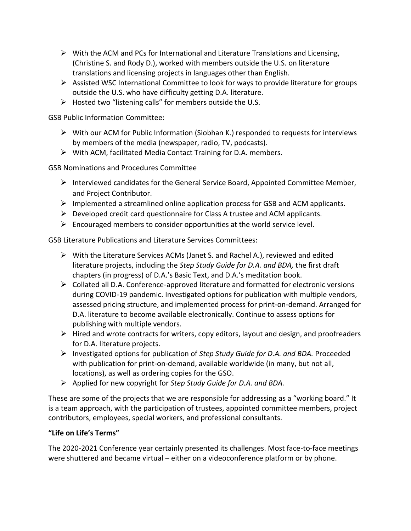- $\triangleright$  With the ACM and PCs for International and Literature Translations and Licensing, (Christine S. and Rody D.), worked with members outside the U.S. on literature translations and licensing projects in languages other than English.
- $\triangleright$  Assisted WSC International Committee to look for ways to provide literature for groups outside the U.S. who have difficulty getting D.A. literature.
- $\triangleright$  Hosted two "listening calls" for members outside the U.S.

GSB Public Information Committee:

- $\triangleright$  With our ACM for Public Information (Siobhan K.) responded to requests for interviews by members of the media (newspaper, radio, TV, podcasts).
- ➢ With ACM, facilitated Media Contact Training for D.A. members.

GSB Nominations and Procedures Committee

- $\triangleright$  Interviewed candidates for the General Service Board, Appointed Committee Member, and Project Contributor.
- $\triangleright$  Implemented a streamlined online application process for GSB and ACM applicants.
- $\triangleright$  Developed credit card questionnaire for Class A trustee and ACM applicants.
- $\triangleright$  Encouraged members to consider opportunities at the world service level.

GSB Literature Publications and Literature Services Committees:

- ➢ With the Literature Services ACMs (Janet S. and Rachel A.), reviewed and edited literature projects, including the *Step Study Guide for D.A. and BDA,* the first draft chapters (in progress) of D.A.'s Basic Text, and D.A.'s meditation book.
- $\triangleright$  Collated all D.A. Conference-approved literature and formatted for electronic versions during COVID-19 pandemic. Investigated options for publication with multiple vendors, assessed pricing structure, and implemented process for print-on-demand. Arranged for D.A. literature to become available electronically. Continue to assess options for publishing with multiple vendors.
- ➢ Hired and wrote contracts for writers, copy editors, layout and design, and proofreaders for D.A. literature projects.
- ➢ Investigated options for publication of *Step Study Guide for D.A. and BDA.* Proceeded with publication for print-on-demand, available worldwide (in many, but not all, locations), as well as ordering copies for the GSO.
- ➢ Applied for new copyright for *Step Study Guide for D.A. and BDA.*

These are some of the projects that we are responsible for addressing as a "working board." It is a team approach, with the participation of trustees, appointed committee members, project contributors, employees, special workers, and professional consultants.

# **"Life on Life's Terms"**

The 2020-2021 Conference year certainly presented its challenges. Most face-to-face meetings were shuttered and became virtual – either on a videoconference platform or by phone.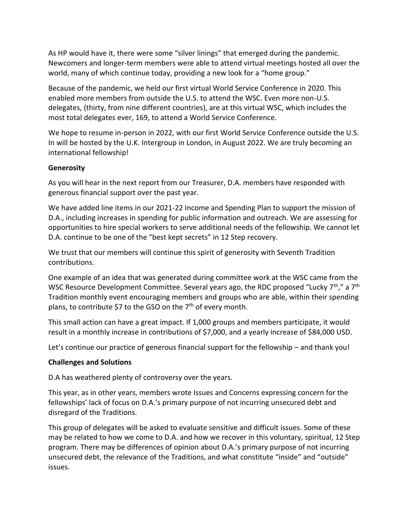As HP would have it, there were some "silver linings" that emerged during the pandemic. Newcomers and longer-term members were able to attend virtual meetings hosted all over the world, many of which continue today, providing a new look for a "home group."

Because of the pandemic, we held our first virtual World Service Conference in 2020. This enabled more members from outside the U.S. to attend the WSC. Even more non-U.S. delegates, (thirty, from nine different countries), are at this virtual WSC, which includes the most total delegates ever, 169, to attend a World Service Conference.

We hope to resume in-person in 2022, with our first World Service Conference outside the U.S. In will be hosted by the U.K. Intergroup in London, in August 2022. We are truly becoming an international fellowship!

# **Generosity**

As you will hear in the next report from our Treasurer, D.A. members have responded with generous financial support over the past year.

We have added line items in our 2021-22 Income and Spending Plan to support the mission of D.A., including increases in spending for public information and outreach. We are assessing for opportunities to hire special workers to serve additional needs of the fellowship. We cannot let D.A. continue to be one of the "best kept secrets" in 12 Step recovery.

We trust that our members will continue this spirit of generosity with Seventh Tradition contributions.

One example of an idea that was generated during committee work at the WSC came from the WSC Resource Development Committee. Several years ago, the RDC proposed "Lucky 7<sup>th</sup>," a 7<sup>th</sup> Tradition monthly event encouraging members and groups who are able, within their spending plans, to contribute \$7 to the GSO on the  $7<sup>th</sup>$  of every month.

This small action can have a great impact. If 1,000 groups and members participate, it would result in a monthly increase in contributions of \$7,000, and a yearly increase of \$84,000 USD.

Let's continue our practice of generous financial support for the fellowship – and thank you!

### **Challenges and Solutions**

D.A has weathered plenty of controversy over the years.

This year, as in other years, members wrote Issues and Concerns expressing concern for the fellowships' lack of focus on D.A.'s primary purpose of not incurring unsecured debt and disregard of the Traditions.

This group of delegates will be asked to evaluate sensitive and difficult issues. Some of these may be related to how we come to D.A. and how we recover in this voluntary, spiritual, 12 Step program. There may be differences of opinion about D.A.'s primary purpose of not incurring unsecured debt, the relevance of the Traditions, and what constitute "inside" and "outside" issues.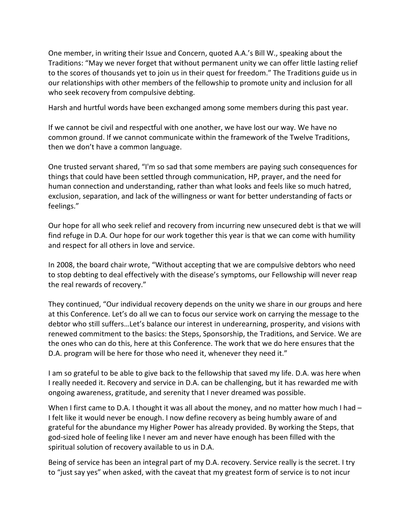One member, in writing their Issue and Concern, quoted A.A.'s Bill W., speaking about the Traditions: "May we never forget that without permanent unity we can offer little lasting relief to the scores of thousands yet to join us in their quest for freedom." The Traditions guide us in our relationships with other members of the fellowship to promote unity and inclusion for all who seek recovery from compulsive debting.

Harsh and hurtful words have been exchanged among some members during this past year.

If we cannot be civil and respectful with one another, we have lost our way. We have no common ground. If we cannot communicate within the framework of the Twelve Traditions, then we don't have a common language.

One trusted servant shared, "I'm so sad that some members are paying such consequences for things that could have been settled through communication, HP, prayer, and the need for human connection and understanding, rather than what looks and feels like so much hatred, exclusion, separation, and lack of the willingness or want for better understanding of facts or feelings."

Our hope for all who seek relief and recovery from incurring new unsecured debt is that we will find refuge in D.A. Our hope for our work together this year is that we can come with humility and respect for all others in love and service.

In 2008, the board chair wrote, "Without accepting that we are compulsive debtors who need to stop debting to deal effectively with the disease's symptoms, our Fellowship will never reap the real rewards of recovery."

They continued, "Our individual recovery depends on the unity we share in our groups and here at this Conference. Let's do all we can to focus our service work on carrying the message to the debtor who still suffers…Let's balance our interest in underearning, prosperity, and visions with renewed commitment to the basics: the Steps, Sponsorship, the Traditions, and Service. We are the ones who can do this, here at this Conference. The work that we do here ensures that the D.A. program will be here for those who need it, whenever they need it."

I am so grateful to be able to give back to the fellowship that saved my life. D.A. was here when I really needed it. Recovery and service in D.A. can be challenging, but it has rewarded me with ongoing awareness, gratitude, and serenity that I never dreamed was possible.

When I first came to D.A. I thought it was all about the money, and no matter how much I had  $-$ I felt like it would never be enough. I now define recovery as being humbly aware of and grateful for the abundance my Higher Power has already provided. By working the Steps, that god-sized hole of feeling like I never am and never have enough has been filled with the spiritual solution of recovery available to us in D.A.

Being of service has been an integral part of my D.A. recovery. Service really is the secret. I try to "just say yes" when asked, with the caveat that my greatest form of service is to not incur